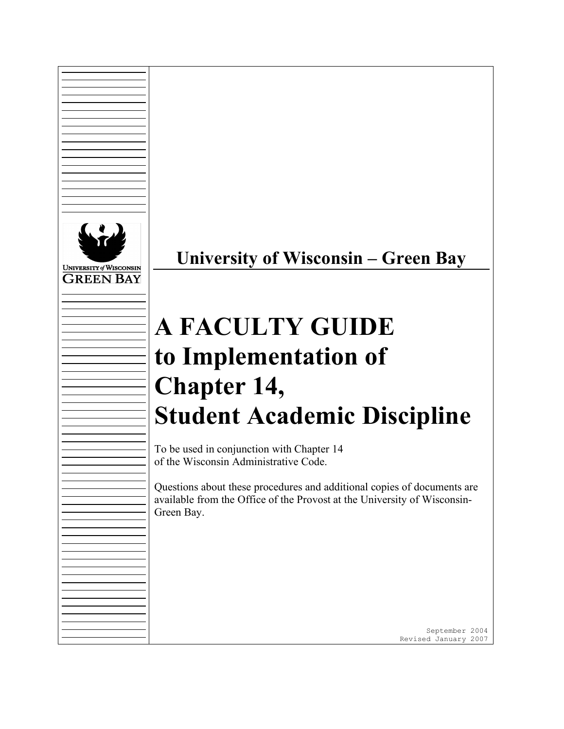

**University of Wisconsin – Green Bay**

# **A FACULTY GUIDE to Implementation of Chapter 14, Student Academic Discipline**

To be used in conjunction with Chapter 14 of the Wisconsin Administrative Code.

Questions about these procedures and additional copies of documents are available from the Office of the Provost at the University of Wisconsin-Green Bay.

> September 2004 Revised January 2007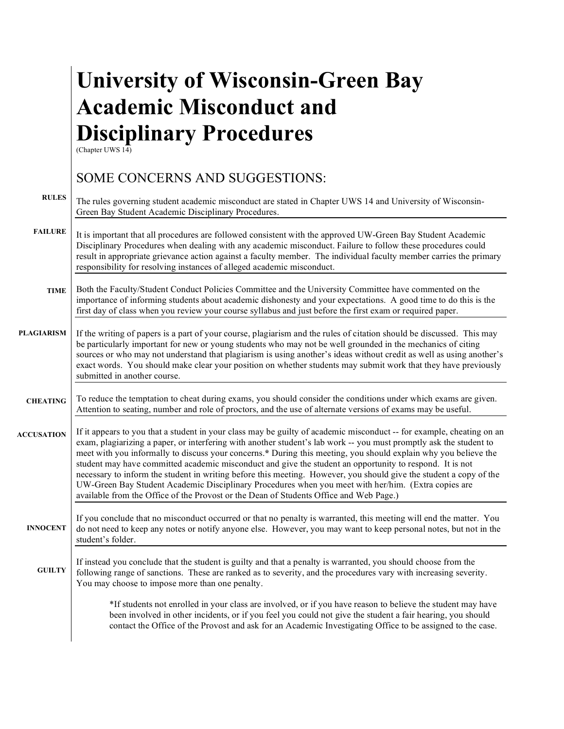# **University of Wisconsin-Green Bay Academic Misconduct and Disciplinary Procedures**

(Chapter UWS 14)

## **RULES FAILURE TIME PLAGIARISM CHEATING ACCUSATION INNOCENT GUILTY** SOME CONCERNS AND SUGGESTIONS: The rules governing student academic misconduct are stated in Chapter UWS 14 and University of Wisconsin-Green Bay Student Academic Disciplinary Procedures. It is important that all procedures are followed consistent with the approved UW-Green Bay Student Academic Disciplinary Procedures when dealing with any academic misconduct. Failure to follow these procedures could result in appropriate grievance action against a faculty member. The individual faculty member carries the primary responsibility for resolving instances of alleged academic misconduct. Both the Faculty/Student Conduct Policies Committee and the University Committee have commented on the importance of informing students about academic dishonesty and your expectations. A good time to do this is the first day of class when you review your course syllabus and just before the first exam or required paper. If the writing of papers is a part of your course, plagiarism and the rules of citation should be discussed. This may be particularly important for new or young students who may not be well grounded in the mechanics of citing sources or who may not understand that plagiarism is using another's ideas without credit as well as using another's exact words. You should make clear your position on whether students may submit work that they have previously submitted in another course. To reduce the temptation to cheat during exams, you should consider the conditions under which exams are given. Attention to seating, number and role of proctors, and the use of alternate versions of exams may be useful. If it appears to you that a student in your class may be guilty of academic misconduct -- for example, cheating on an exam, plagiarizing a paper, or interfering with another student's lab work -- you must promptly ask the student to meet with you informally to discuss your concerns.**\*** During this meeting, you should explain why you believe the student may have committed academic misconduct and give the student an opportunity to respond. It is not necessary to inform the student in writing before this meeting. However, you should give the student a copy of the UW-Green Bay Student Academic Disciplinary Procedures when you meet with her/him. (Extra copies are available from the Office of the Provost or the Dean of Students Office and Web Page.) If you conclude that no misconduct occurred or that no penalty is warranted, this meeting will end the matter. You do not need to keep any notes or notify anyone else. However, you may want to keep personal notes, but not in the student's folder. If instead you conclude that the student is guilty and that a penalty is warranted, you should choose from the following range of sanctions. These are ranked as to severity, and the procedures vary with increasing severity. You may choose to impose more than one penalty. \*If students not enrolled in your class are involved, or if you have reason to believe the student may have been involved in other incidents, or if you feel you could not give the student a fair hearing, you should contact the Office of the Provost and ask for an Academic Investigating Office to be assigned to the case.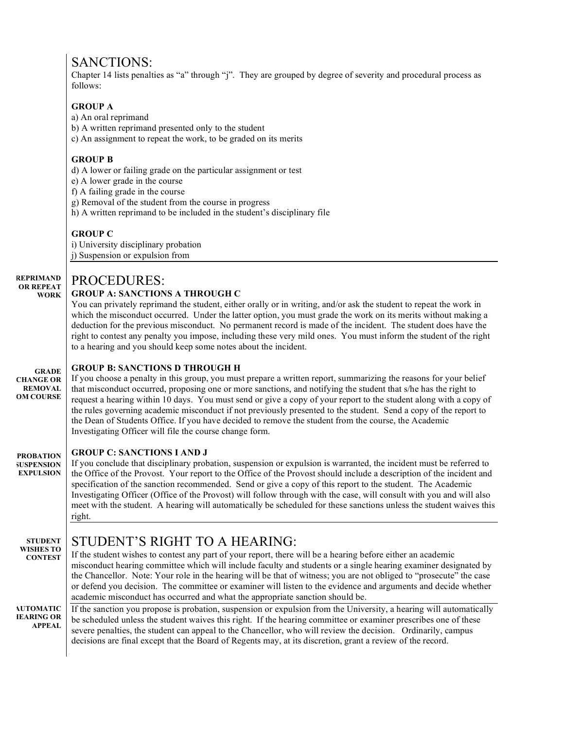## SANCTIONS:

Chapter 14 lists penalties as "a" through "j". They are grouped by degree of severity and procedural process as follows:

## **GROUP A**

a) An oral reprimand

b) A written reprimand presented only to the student

c) An assignment to repeat the work, to be graded on its merits

## **GROUP B**

d) A lower or failing grade on the particular assignment or test

e) A lower grade in the course

f) A failing grade in the course

g) Removal of the student from the course in progress

h) A written reprimand to be included in the student's disciplinary file

### **GROUP C**

i) University disciplinary probation j) Suspension or expulsion from

#### **REPRIMAND OR REPEAT**  PROCEDURES:

#### **WORK GROUP A: SANCTIONS A THROUGH C**

You can privately reprimand the student, either orally or in writing, and/or ask the student to repeat the work in which the misconduct occurred. Under the latter option, you must grade the work on its merits without making a deduction for the previous misconduct. No permanent record is made of the incident. The student does have the right to contest any penalty you impose, including these very mild ones. You must inform the student of the right to a hearing and you should keep some notes about the incident.

#### **GRADE GROUP B: SANCTIONS D THROUGH H**

**CHANGE OR REMOVAL FORM COURSE** If you choose a penalty in this group, you must prepare a written report, summarizing the reasons for your belief that misconduct occurred, proposing one or more sanctions, and notifying the student that s/he has the right to request a hearing within 10 days. You must send or give a copy of your report to the student along with a copy of the rules governing academic misconduct if not previously presented to the student. Send a copy of the report to the Dean of Students Office. If you have decided to remove the student from the course, the Academic Investigating Officer will file the course change form.

### **GROUP C: SANCTIONS I AND J**

**PROBATION SUSPENSION EXPULSION** If you conclude that disciplinary probation, suspension or expulsion is warranted, the incident must be referred to the Office of the Provost. Your report to the Office of the Provost should include a description of the incident and specification of the sanction recommended. Send or give a copy of this report to the student. The Academic Investigating Officer (Office of the Provost) will follow through with the case, will consult with you and will also meet with the student. A hearing will automatically be scheduled for these sanctions unless the student waives this right.

**STUDENT WISHES TO CONTEST**

## STUDENT'S RIGHT TO A HEARING:

If the student wishes to contest any part of your report, there will be a hearing before either an academic misconduct hearing committee which will include faculty and students or a single hearing examiner designated by the Chancellor. Note: Your role in the hearing will be that of witness; you are not obliged to "prosecute" the case or defend you decision. The committee or examiner will listen to the evidence and arguments and decide whether academic misconduct has occurred and what the appropriate sanction should be.

**AUTOMATIC HEARING OR APPEAL** If the sanction you propose is probation, suspension or expulsion from the University, a hearing will automatically be scheduled unless the student waives this right. If the hearing committee or examiner prescribes one of these severe penalties, the student can appeal to the Chancellor, who will review the decision. Ordinarily, campus decisions are final except that the Board of Regents may, at its discretion, grant a review of the record.